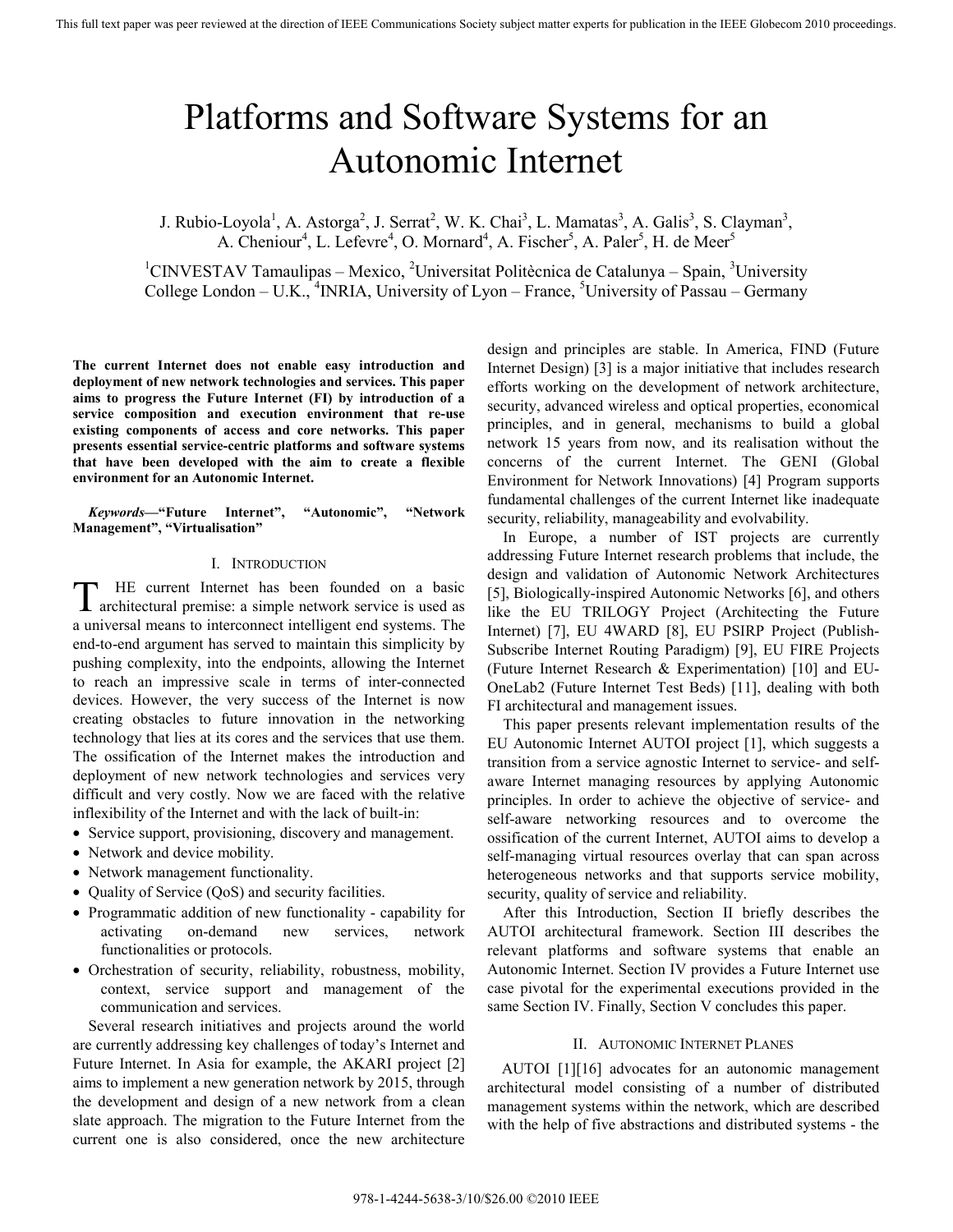# Platforms and Software Systems for an Autonomic Internet

J. Rubio-Loyola<sup>1</sup>, A. Astorga<sup>2</sup>, J. Serrat<sup>2</sup>, W. K. Chai<sup>3</sup>, L. Mamatas<sup>3</sup>, A. Galis<sup>3</sup>, S. Clayman<sup>3</sup>, A. Cheniour<sup>4</sup>, L. Lefevre<sup>4</sup>, O. Mornard<sup>4</sup>, A. Fischer<sup>5</sup>, A. Paler<sup>5</sup>, H. de Meer<sup>5</sup>

<sup>1</sup>CINVESTAV Tamaulipas – Mexico, <sup>2</sup>Universitat Politècnica de Catalunya – Spain, <sup>3</sup>University College London – U.K., <sup>4</sup>INRIA, University of Lyon – France, <sup>5</sup>University of Passau – Germany

**The current Internet does not enable easy introduction and deployment of new network technologies and services. This paper aims to progress the Future Internet (FI) by introduction of a service composition and execution environment that re-use existing components of access and core networks. This paper presents essential service-centric platforms and software systems that have been developed with the aim to create a flexible environment for an Autonomic Internet.** 

*Keywords***—"Future Internet", "Autonomic", "Network Management", "Virtualisation"** 

# I. INTRODUCTION

HE current Internet has been founded on a basic The current Internet has been founded on a basic architectural premise: a simple network service is used as a universal means to interconnect intelligent end systems. The end-to-end argument has served to maintain this simplicity by pushing complexity, into the endpoints, allowing the Internet to reach an impressive scale in terms of inter-connected devices. However, the very success of the Internet is now creating obstacles to future innovation in the networking technology that lies at its cores and the services that use them. The ossification of the Internet makes the introduction and deployment of new network technologies and services very difficult and very costly. Now we are faced with the relative inflexibility of the Internet and with the lack of built-in:

- Service support, provisioning, discovery and management.
- Network and device mobility.
- Network management functionality.
- Quality of Service (QoS) and security facilities.
- Programmatic addition of new functionality capability for activating on-demand new services, network functionalities or protocols.
- Orchestration of security, reliability, robustness, mobility, context, service support and management of the communication and services.

Several research initiatives and projects around the world are currently addressing key challenges of today's Internet and Future Internet. In Asia for example, the AKARI project [2] aims to implement a new generation network by 2015, through the development and design of a new network from a clean slate approach. The migration to the Future Internet from the current one is also considered, once the new architecture

design and principles are stable. In America, FIND (Future Internet Design) [3] is a major initiative that includes research efforts working on the development of network architecture, security, advanced wireless and optical properties, economical principles, and in general, mechanisms to build a global network 15 years from now, and its realisation without the concerns of the current Internet. The GENI (Global Environment for Network Innovations) [4] Program supports fundamental challenges of the current Internet like inadequate security, reliability, manageability and evolvability.

In Europe, a number of IST projects are currently addressing Future Internet research problems that include, the design and validation of Autonomic Network Architectures [5], Biologically-inspired Autonomic Networks [6], and others like the EU TRILOGY Project (Architecting the Future Internet) [7], EU 4WARD [8], EU PSIRP Project (Publish-Subscribe Internet Routing Paradigm) [9], EU FIRE Projects (Future Internet Research & Experimentation) [10] and EU-OneLab2 (Future Internet Test Beds) [11], dealing with both FI architectural and management issues.

This paper presents relevant implementation results of the EU Autonomic Internet AUTOI project [1], which suggests a transition from a service agnostic Internet to service- and selfaware Internet managing resources by applying Autonomic principles. In order to achieve the objective of service- and self-aware networking resources and to overcome the ossification of the current Internet, AUTOI aims to develop a self-managing virtual resources overlay that can span across heterogeneous networks and that supports service mobility, security, quality of service and reliability.

After this Introduction, Section II briefly describes the AUTOI architectural framework. Section III describes the relevant platforms and software systems that enable an Autonomic Internet. Section IV provides a Future Internet use case pivotal for the experimental executions provided in the same Section IV. Finally, Section V concludes this paper.

# II. AUTONOMIC INTERNET PLANES

AUTOI [1][16] advocates for an autonomic management architectural model consisting of a number of distributed management systems within the network, which are described with the help of five abstractions and distributed systems - the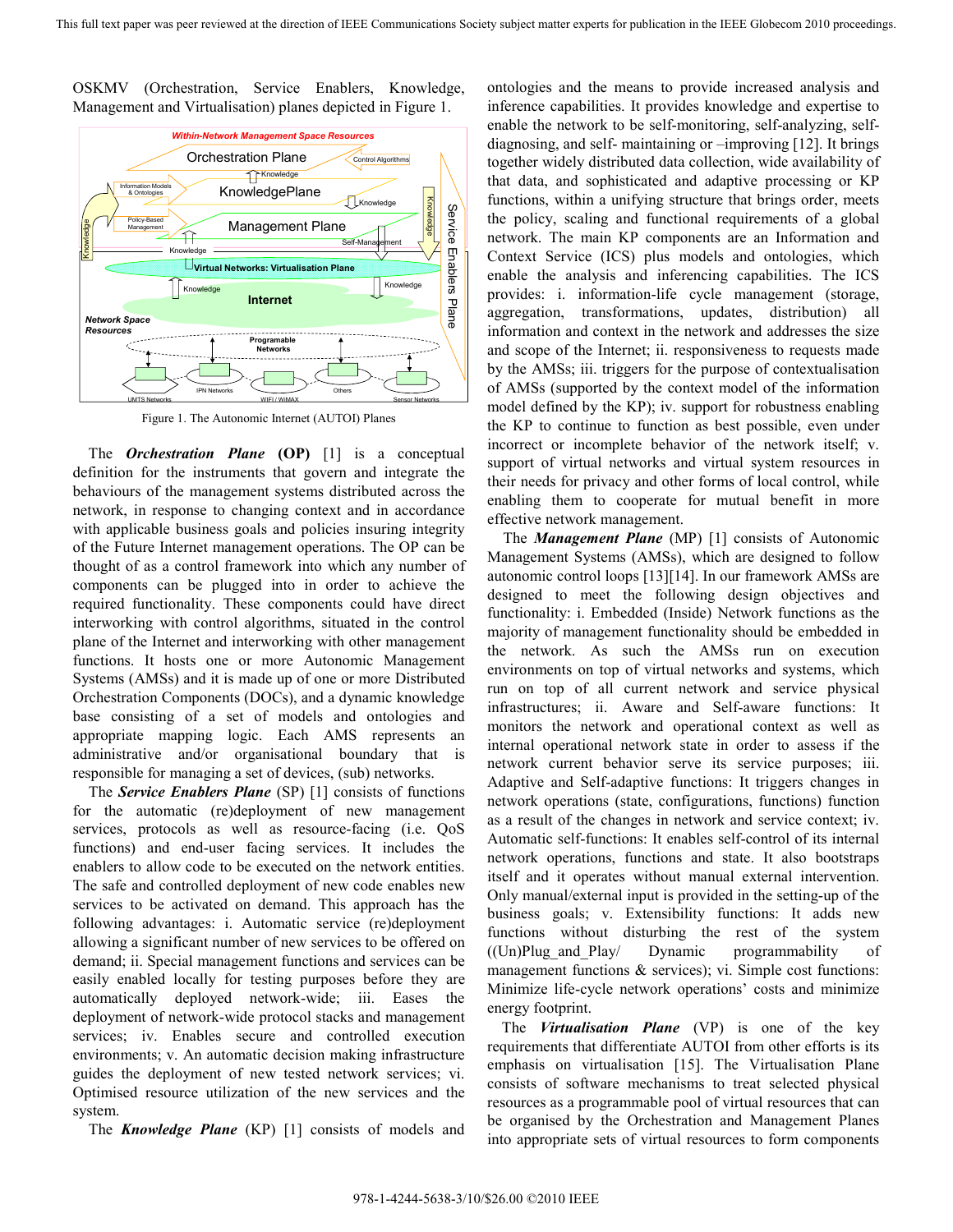OSKMV (Orchestration, Service Enablers, Knowledge, Management and Virtualisation) planes depicted in Figure 1.



Figure 1. The Autonomic Internet (AUTOI) Planes

The *Orchestration Plane* **(OP)** [1] is a conceptual definition for the instruments that govern and integrate the behaviours of the management systems distributed across the network, in response to changing context and in accordance with applicable business goals and policies insuring integrity of the Future Internet management operations. The OP can be thought of as a control framework into which any number of components can be plugged into in order to achieve the required functionality. These components could have direct interworking with control algorithms, situated in the control plane of the Internet and interworking with other management functions. It hosts one or more Autonomic Management Systems (AMSs) and it is made up of one or more Distributed Orchestration Components (DOCs), and a dynamic knowledge base consisting of a set of models and ontologies and appropriate mapping logic. Each AMS represents an administrative and/or organisational boundary that is responsible for managing a set of devices, (sub) networks.

The *Service Enablers Plane* (SP) [1] consists of functions for the automatic (re)deployment of new management services, protocols as well as resource-facing (i.e. QoS functions) and end-user facing services. It includes the enablers to allow code to be executed on the network entities. The safe and controlled deployment of new code enables new services to be activated on demand. This approach has the following advantages: i. Automatic service (re)deployment allowing a significant number of new services to be offered on demand; ii. Special management functions and services can be easily enabled locally for testing purposes before they are automatically deployed network-wide; iii. Eases the deployment of network-wide protocol stacks and management services; iv. Enables secure and controlled execution environments; v. An automatic decision making infrastructure guides the deployment of new tested network services; vi. Optimised resource utilization of the new services and the system.

The *Knowledge Plane* (KP) [1] consists of models and

ontologies and the means to provide increased analysis and inference capabilities. It provides knowledge and expertise to enable the network to be self-monitoring, self-analyzing, selfdiagnosing, and self- maintaining or –improving [12]. It brings together widely distributed data collection, wide availability of that data, and sophisticated and adaptive processing or KP functions, within a unifying structure that brings order, meets the policy, scaling and functional requirements of a global network. The main KP components are an Information and Context Service (ICS) plus models and ontologies, which enable the analysis and inferencing capabilities. The ICS provides: i. information-life cycle management (storage, aggregation, transformations, updates, distribution) all information and context in the network and addresses the size and scope of the Internet; ii. responsiveness to requests made by the AMSs; iii. triggers for the purpose of contextualisation of AMSs (supported by the context model of the information model defined by the KP); iv. support for robustness enabling the KP to continue to function as best possible, even under incorrect or incomplete behavior of the network itself; v. support of virtual networks and virtual system resources in their needs for privacy and other forms of local control, while enabling them to cooperate for mutual benefit in more effective network management.

The *Management Plane* (MP) [1] consists of Autonomic Management Systems (AMSs), which are designed to follow autonomic control loops [13][14]. In our framework AMSs are designed to meet the following design objectives and functionality: i. Embedded (Inside) Network functions as the majority of management functionality should be embedded in the network. As such the AMSs run on execution environments on top of virtual networks and systems, which run on top of all current network and service physical infrastructures; ii. Aware and Self-aware functions: It monitors the network and operational context as well as internal operational network state in order to assess if the network current behavior serve its service purposes; iii. Adaptive and Self-adaptive functions: It triggers changes in network operations (state, configurations, functions) function as a result of the changes in network and service context; iv. Automatic self-functions: It enables self-control of its internal network operations, functions and state. It also bootstraps itself and it operates without manual external intervention. Only manual/external input is provided in the setting-up of the business goals; v. Extensibility functions: It adds new functions without disturbing the rest of the system  $((Un)$ Plug and Play/ Dynamic programmability of management functions & services); vi. Simple cost functions: Minimize life-cycle network operations' costs and minimize energy footprint.

The *Virtualisation Plane* (VP) is one of the key requirements that differentiate AUTOI from other efforts is its emphasis on virtualisation [15]. The Virtualisation Plane consists of software mechanisms to treat selected physical resources as a programmable pool of virtual resources that can be organised by the Orchestration and Management Planes into appropriate sets of virtual resources to form components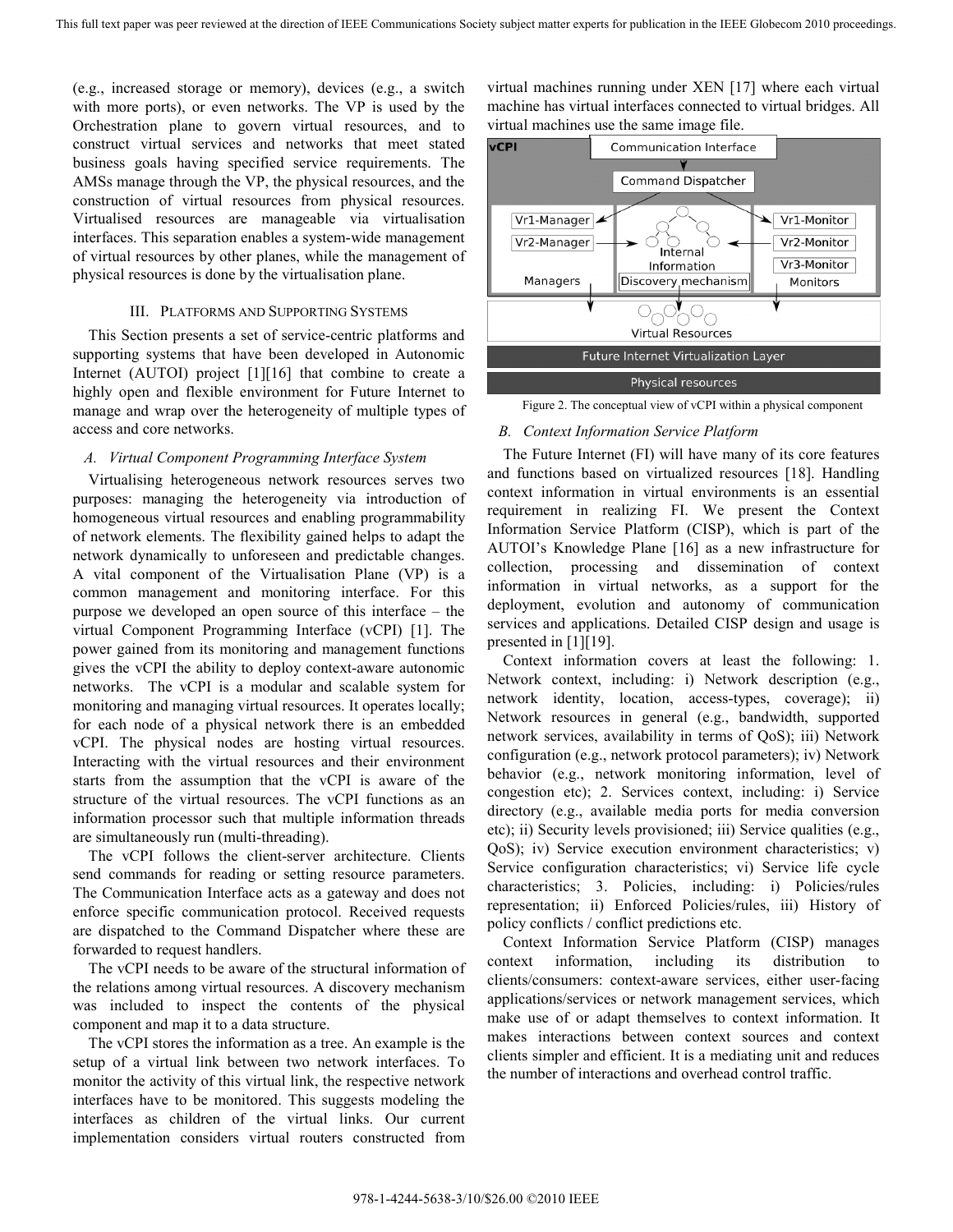(e.g., increased storage or memory), devices (e.g., a switch with more ports), or even networks. The VP is used by the Orchestration plane to govern virtual resources, and to construct virtual services and networks that meet stated business goals having specified service requirements. The AMSs manage through the VP, the physical resources, and the construction of virtual resources from physical resources. Virtualised resources are manageable via virtualisation interfaces. This separation enables a system-wide management of virtual resources by other planes, while the management of physical resources is done by the virtualisation plane.

# III. PLATFORMS AND SUPPORTING SYSTEMS

This Section presents a set of service-centric platforms and supporting systems that have been developed in Autonomic Internet (AUTOI) project [1][16] that combine to create a highly open and flexible environment for Future Internet to manage and wrap over the heterogeneity of multiple types of access and core networks.

# *A. Virtual Component Programming Interface System*

Virtualising heterogeneous network resources serves two purposes: managing the heterogeneity via introduction of homogeneous virtual resources and enabling programmability of network elements. The flexibility gained helps to adapt the network dynamically to unforeseen and predictable changes. A vital component of the Virtualisation Plane (VP) is a common management and monitoring interface. For this purpose we developed an open source of this interface – the virtual Component Programming Interface (vCPI) [1]. The power gained from its monitoring and management functions gives the vCPI the ability to deploy context-aware autonomic networks. The vCPI is a modular and scalable system for monitoring and managing virtual resources. It operates locally; for each node of a physical network there is an embedded vCPI. The physical nodes are hosting virtual resources. Interacting with the virtual resources and their environment starts from the assumption that the vCPI is aware of the structure of the virtual resources. The vCPI functions as an information processor such that multiple information threads are simultaneously run (multi-threading).

The vCPI follows the client-server architecture. Clients send commands for reading or setting resource parameters. The Communication Interface acts as a gateway and does not enforce specific communication protocol. Received requests are dispatched to the Command Dispatcher where these are forwarded to request handlers.

The vCPI needs to be aware of the structural information of the relations among virtual resources. A discovery mechanism was included to inspect the contents of the physical component and map it to a data structure.

The vCPI stores the information as a tree. An example is the setup of a virtual link between two network interfaces. To monitor the activity of this virtual link, the respective network interfaces have to be monitored. This suggests modeling the interfaces as children of the virtual links. Our current implementation considers virtual routers constructed from virtual machines running under XEN [17] where each virtual machine has virtual interfaces connected to virtual bridges. All virtual machines use the same image file.



Figure 2. The conceptual view of vCPI within a physical component

# *B. Context Information Service Platform*

The Future Internet (FI) will have many of its core features and functions based on virtualized resources [18]. Handling context information in virtual environments is an essential requirement in realizing FI. We present the Context Information Service Platform (CISP), which is part of the AUTOI's Knowledge Plane [16] as a new infrastructure for collection, processing and dissemination of context information in virtual networks, as a support for the deployment, evolution and autonomy of communication services and applications. Detailed CISP design and usage is presented in [1][19].

Context information covers at least the following: 1. Network context, including: i) Network description (e.g., network identity, location, access-types, coverage); ii) Network resources in general (e.g., bandwidth, supported network services, availability in terms of QoS); iii) Network configuration (e.g., network protocol parameters); iv) Network behavior (e.g., network monitoring information, level of congestion etc); 2. Services context, including: i) Service directory (e.g., available media ports for media conversion etc); ii) Security levels provisioned; iii) Service qualities (e.g., QoS); iv) Service execution environment characteristics; v) Service configuration characteristics; vi) Service life cycle characteristics; 3. Policies, including: i) Policies/rules representation; ii) Enforced Policies/rules, iii) History of policy conflicts / conflict predictions etc.

Context Information Service Platform (CISP) manages context information, including its distribution to clients/consumers: context-aware services, either user-facing applications/services or network management services, which make use of or adapt themselves to context information. It makes interactions between context sources and context clients simpler and efficient. It is a mediating unit and reduces the number of interactions and overhead control traffic.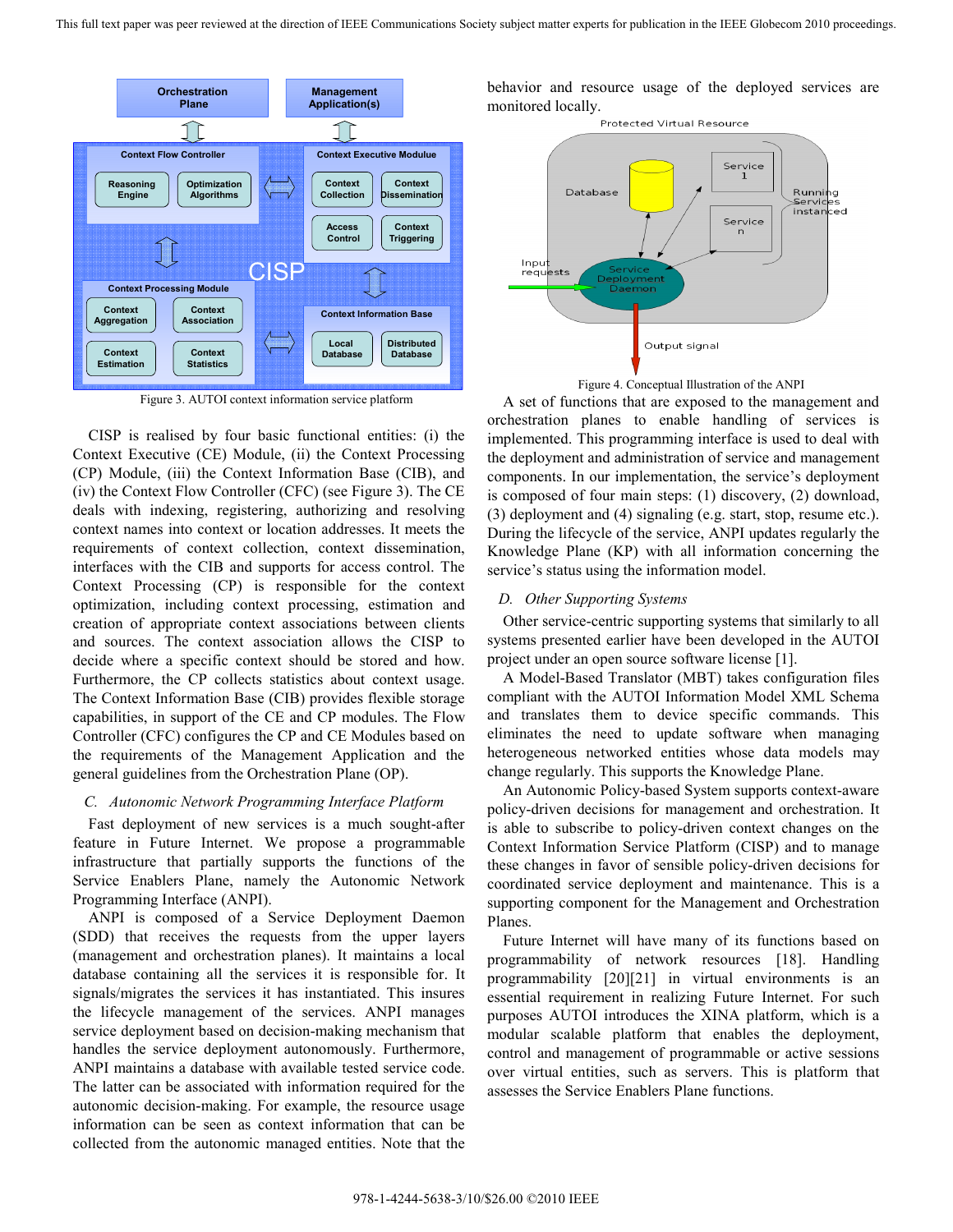

Figure 3. AUTOI context information service platform

CISP is realised by four basic functional entities: (i) the Context Executive (CE) Module, (ii) the Context Processing (CP) Module, (iii) the Context Information Base (CIB), and (iv) the Context Flow Controller (CFC) (see Figure 3). The CE deals with indexing, registering, authorizing and resolving context names into context or location addresses. It meets the requirements of context collection, context dissemination, interfaces with the CIB and supports for access control. The Context Processing (CP) is responsible for the context optimization, including context processing, estimation and creation of appropriate context associations between clients and sources. The context association allows the CISP to decide where a specific context should be stored and how. Furthermore, the CP collects statistics about context usage. The Context Information Base (CIB) provides flexible storage capabilities, in support of the CE and CP modules. The Flow Controller (CFC) configures the CP and CE Modules based on the requirements of the Management Application and the general guidelines from the Orchestration Plane (OP).

# *C. Autonomic Network Programming Interface Platform*

Fast deployment of new services is a much sought-after feature in Future Internet. We propose a programmable infrastructure that partially supports the functions of the Service Enablers Plane, namely the Autonomic Network Programming Interface (ANPI).

ANPI is composed of a Service Deployment Daemon (SDD) that receives the requests from the upper layers (management and orchestration planes). It maintains a local database containing all the services it is responsible for. It signals/migrates the services it has instantiated. This insures the lifecycle management of the services. ANPI manages service deployment based on decision-making mechanism that handles the service deployment autonomously. Furthermore, ANPI maintains a database with available tested service code. The latter can be associated with information required for the autonomic decision-making. For example, the resource usage information can be seen as context information that can be collected from the autonomic managed entities. Note that the

behavior and resource usage of the deployed services are monitored locally.



Figure 4. Conceptual Illustration of the ANPI

A set of functions that are exposed to the management and orchestration planes to enable handling of services is implemented. This programming interface is used to deal with the deployment and administration of service and management components. In our implementation, the service's deployment is composed of four main steps: (1) discovery, (2) download, (3) deployment and (4) signaling (e.g. start, stop, resume etc.). During the lifecycle of the service, ANPI updates regularly the Knowledge Plane (KP) with all information concerning the service's status using the information model.

#### *D. Other Supporting Systems*

Other service-centric supporting systems that similarly to all systems presented earlier have been developed in the AUTOI project under an open source software license [1].

A Model-Based Translator (MBT) takes configuration files compliant with the AUTOI Information Model XML Schema and translates them to device specific commands. This eliminates the need to update software when managing heterogeneous networked entities whose data models may change regularly. This supports the Knowledge Plane.

An Autonomic Policy-based System supports context-aware policy-driven decisions for management and orchestration. It is able to subscribe to policy-driven context changes on the Context Information Service Platform (CISP) and to manage these changes in favor of sensible policy-driven decisions for coordinated service deployment and maintenance. This is a supporting component for the Management and Orchestration Planes.

Future Internet will have many of its functions based on programmability of network resources [18]. Handling programmability [20][21] in virtual environments is an essential requirement in realizing Future Internet. For such purposes AUTOI introduces the XINA platform, which is a modular scalable platform that enables the deployment, control and management of programmable or active sessions over virtual entities, such as servers. This is platform that assesses the Service Enablers Plane functions.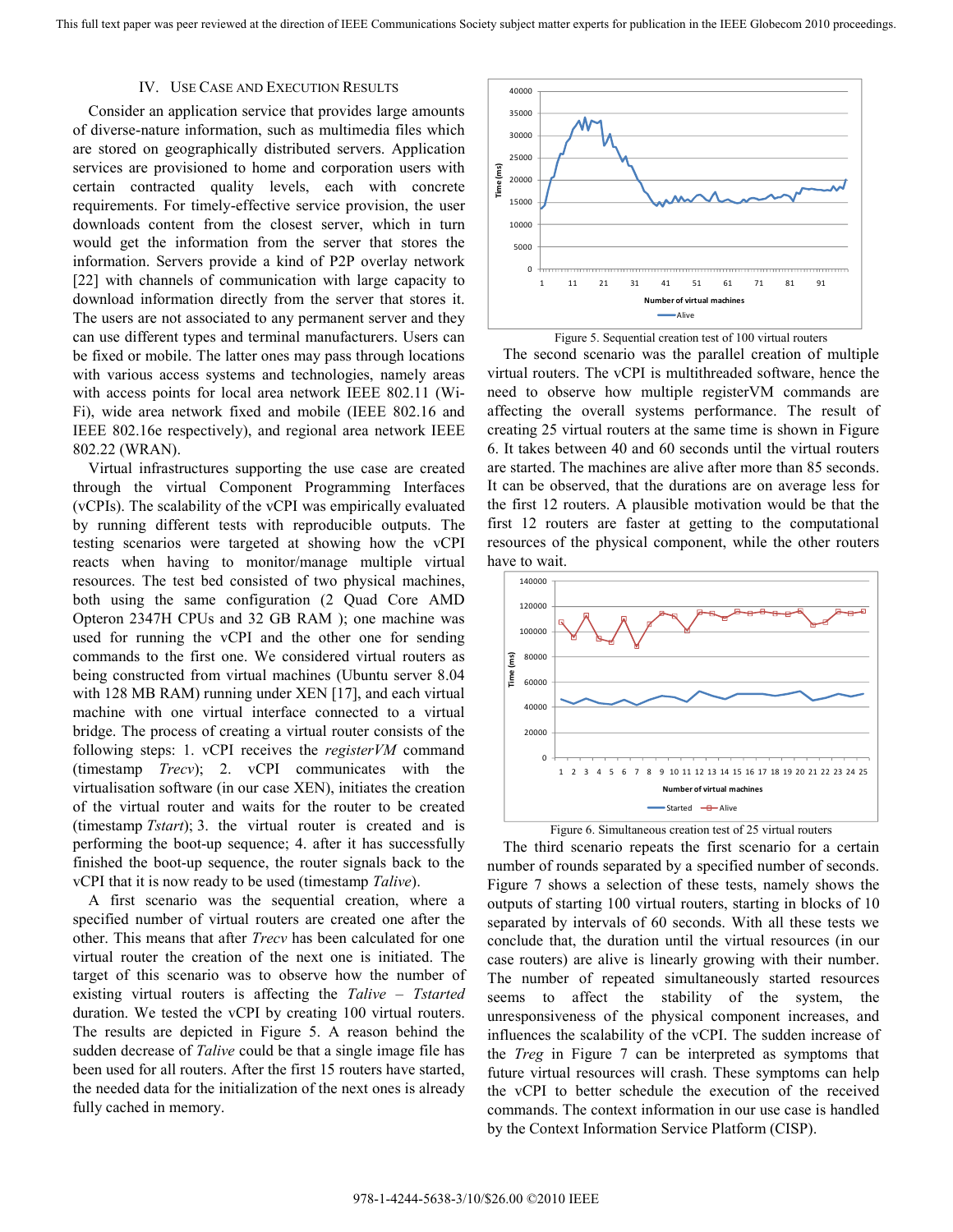# IV. USE CASE AND EXECUTION RESULTS

Consider an application service that provides large amounts of diverse-nature information, such as multimedia files which are stored on geographically distributed servers. Application services are provisioned to home and corporation users with certain contracted quality levels, each with concrete requirements. For timely-effective service provision, the user downloads content from the closest server, which in turn would get the information from the server that stores the information. Servers provide a kind of P2P overlay network [22] with channels of communication with large capacity to download information directly from the server that stores it. The users are not associated to any permanent server and they can use different types and terminal manufacturers. Users can be fixed or mobile. The latter ones may pass through locations with various access systems and technologies, namely areas with access points for local area network IEEE 802.11 (Wi-Fi), wide area network fixed and mobile (IEEE 802.16 and IEEE 802.16e respectively), and regional area network IEEE 802.22 (WRAN).

Virtual infrastructures supporting the use case are created through the virtual Component Programming Interfaces (vCPIs). The scalability of the vCPI was empirically evaluated by running different tests with reproducible outputs. The testing scenarios were targeted at showing how the vCPI reacts when having to monitor/manage multiple virtual resources. The test bed consisted of two physical machines, both using the same configuration (2 Quad Core AMD Opteron 2347H CPUs and 32 GB RAM ); one machine was used for running the vCPI and the other one for sending commands to the first one. We considered virtual routers as being constructed from virtual machines (Ubuntu server 8.04 with 128 MB RAM) running under XEN [17], and each virtual machine with one virtual interface connected to a virtual bridge. The process of creating a virtual router consists of the following steps: 1. vCPI receives the *registerVM* command (timestamp *Trecv*); 2. vCPI communicates with the virtualisation software (in our case XEN), initiates the creation of the virtual router and waits for the router to be created (timestamp *Tstart*); 3. the virtual router is created and is performing the boot-up sequence; 4. after it has successfully finished the boot-up sequence, the router signals back to the vCPI that it is now ready to be used (timestamp *Talive*).

A first scenario was the sequential creation, where a specified number of virtual routers are created one after the other. This means that after *Trecv* has been calculated for one virtual router the creation of the next one is initiated. The target of this scenario was to observe how the number of existing virtual routers is affecting the *Talive – Tstarted* duration. We tested the vCPI by creating 100 virtual routers. The results are depicted in Figure 5. A reason behind the sudden decrease of *Talive* could be that a single image file has been used for all routers. After the first 15 routers have started, the needed data for the initialization of the next ones is already fully cached in memory.



Figure 5. Sequential creation test of 100 virtual routers

The second scenario was the parallel creation of multiple virtual routers. The vCPI is multithreaded software, hence the need to observe how multiple registerVM commands are affecting the overall systems performance. The result of creating 25 virtual routers at the same time is shown in Figure 6. It takes between 40 and 60 seconds until the virtual routers are started. The machines are alive after more than 85 seconds. It can be observed, that the durations are on average less for the first 12 routers. A plausible motivation would be that the first 12 routers are faster at getting to the computational resources of the physical component, while the other routers have to wait.





The third scenario repeats the first scenario for a certain number of rounds separated by a specified number of seconds. Figure 7 shows a selection of these tests, namely shows the outputs of starting 100 virtual routers, starting in blocks of 10 separated by intervals of 60 seconds. With all these tests we conclude that, the duration until the virtual resources (in our case routers) are alive is linearly growing with their number. The number of repeated simultaneously started resources seems to affect the stability of the system, the unresponsiveness of the physical component increases, and influences the scalability of the vCPI. The sudden increase of the *Treg* in Figure 7 can be interpreted as symptoms that future virtual resources will crash. These symptoms can help the vCPI to better schedule the execution of the received commands. The context information in our use case is handled by the Context Information Service Platform (CISP).